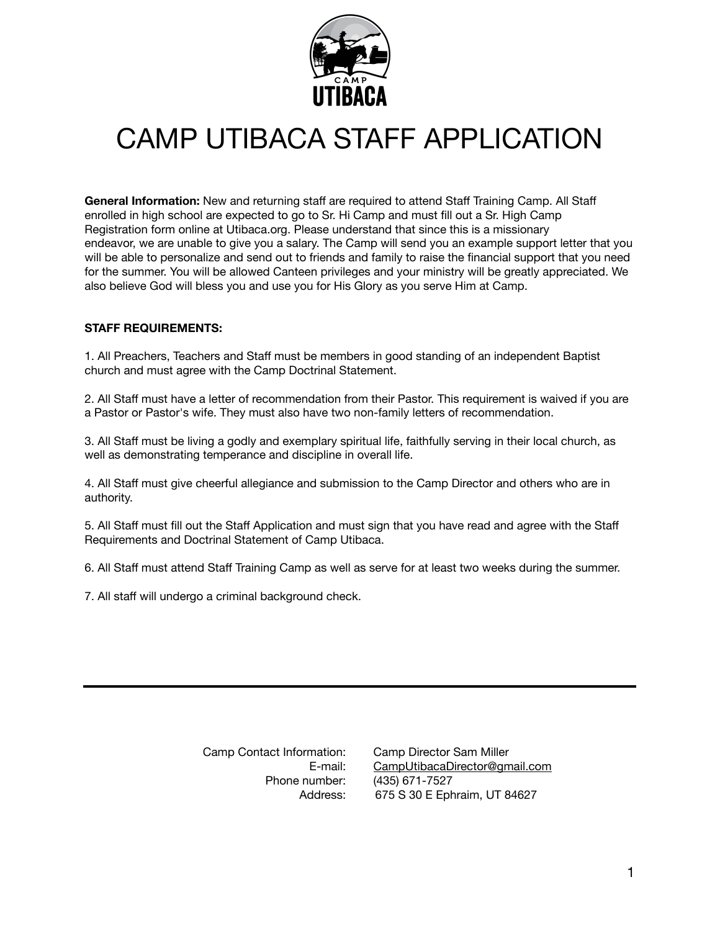

# CAMP UTIBACA STAFF APPLICATION

**General Information:** New and returning staff are required to attend Staff Training Camp. All Staff enrolled in high school are expected to go to Sr. Hi Camp and must fill out a Sr. High Camp Registration form online at Utibaca.org. Please understand that since this is a missionary endeavor, we are unable to give you a salary. The Camp will send you an example support letter that you will be able to personalize and send out to friends and family to raise the financial support that you need for the summer. You will be allowed Canteen privileges and your ministry will be greatly appreciated. We also believe God will bless you and use you for His Glory as you serve Him at Camp.

### **STAFF REQUIREMENTS:**

1. All Preachers, Teachers and Staff must be members in good standing of an independent Baptist church and must agree with the Camp Doctrinal Statement.

2. All Staff must have a letter of recommendation from their Pastor. This requirement is waived if you are a Pastor or Pastor's wife. They must also have two non-family letters of recommendation.

3. All Staff must be living a godly and exemplary spiritual life, faithfully serving in their local church, as well as demonstrating temperance and discipline in overall life.

4. All Staff must give cheerful allegiance and submission to the Camp Director and others who are in authority.

5. All Staff must fill out the Staff Application and must sign that you have read and agree with the Staff Requirements and Doctrinal Statement of Camp Utibaca.

6. All Staff must attend Staff Training Camp as well as serve for at least two weeks during the summer.

7. All staff will undergo a criminal background check.

 Camp Contact Information: E-mail: Phone number:

Camp Director Sam Miller [CampUtibacaDirector@gmail.com](mailto:CampUtibacaDirector@gmail.com) (435) 671-7527 Address: 675 S 30 E Ephraim, UT 84627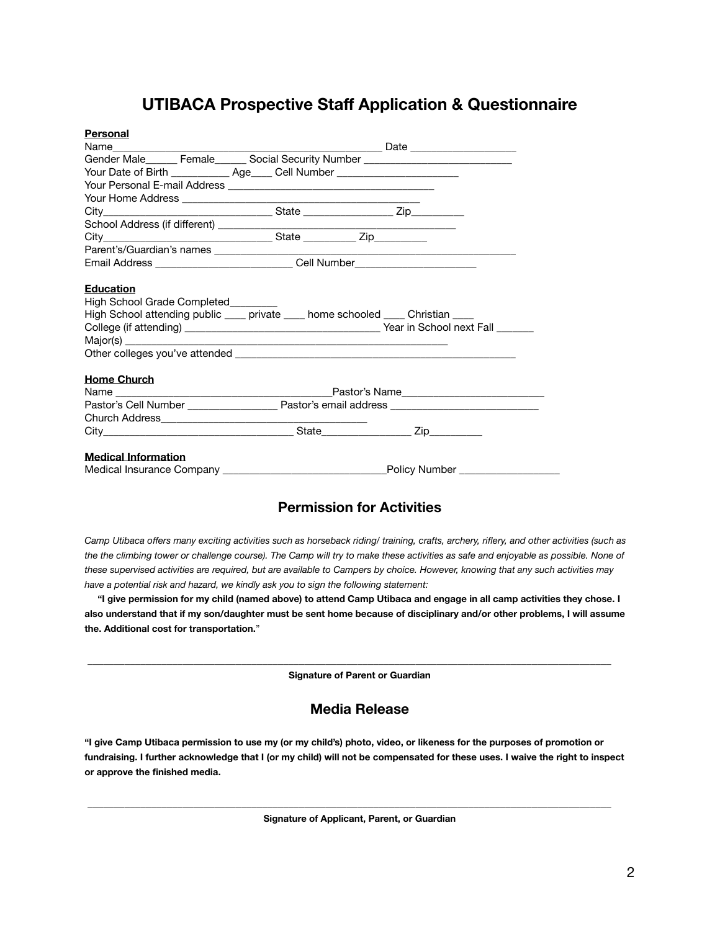## **UTIBACA Prospective Staff Application & Questionnaire**

| Personal                            |                                                                                  |                                                                                  |  |
|-------------------------------------|----------------------------------------------------------------------------------|----------------------------------------------------------------------------------|--|
|                                     |                                                                                  |                                                                                  |  |
|                                     |                                                                                  | Gender Male______ Female______ Social Security Number __________________________ |  |
|                                     | Your Date of Birth _____________ Age_____ Cell Number __________________________ |                                                                                  |  |
|                                     |                                                                                  |                                                                                  |  |
|                                     |                                                                                  |                                                                                  |  |
|                                     |                                                                                  |                                                                                  |  |
|                                     |                                                                                  |                                                                                  |  |
|                                     |                                                                                  |                                                                                  |  |
|                                     |                                                                                  |                                                                                  |  |
|                                     |                                                                                  | Email Address ______________________________Cell Number_________________________ |  |
| High School Grade Completed________ |                                                                                  | High School attending public ____ private ____ home schooled ____ Christian ____ |  |
| <b>Home Church</b>                  |                                                                                  |                                                                                  |  |
|                                     |                                                                                  |                                                                                  |  |
|                                     |                                                                                  |                                                                                  |  |
|                                     |                                                                                  |                                                                                  |  |
|                                     |                                                                                  |                                                                                  |  |
| <b>Medical Information</b>          |                                                                                  |                                                                                  |  |

## **Permission for Activities**

*Camp Utibaca offers many exciting activities such as horseback riding/ training, crafts, archery, riflery, and other activities (such as the the climbing tower or challenge course). The Camp will try to make these activities as safe and enjoyable as possible. None of these supervised activities are required, but are available to Campers by choice. However, knowing that any such activities may have a potential risk and hazard, we kindly ask you to sign the following statement:* 

 **"I give permission for my child (named above) to attend Camp Utibaca and engage in all camp activities they chose. I also understand that if my son/daughter must be sent home because of disciplinary and/or other problems, I will assume the. Additional cost for transportation.**"

**Signature of Parent or Guardian** 

\_\_\_\_\_\_\_\_\_\_\_\_\_\_\_\_\_\_\_\_\_\_\_\_\_\_\_\_\_\_\_\_\_\_\_\_\_\_\_\_\_\_\_\_\_\_\_\_\_\_\_\_\_\_\_\_\_\_\_\_\_\_\_\_\_\_\_\_\_\_\_\_\_\_\_\_\_\_\_\_\_\_\_\_\_\_\_\_\_\_\_\_\_\_\_\_\_\_\_

### **Media Release**

**"I give Camp Utibaca permission to use my (or my child's) photo, video, or likeness for the purposes of promotion or fundraising. I further acknowledge that I (or my child) will not be compensated for these uses. I waive the right to inspect or approve the finished media.** 

**Signature of Applicant, Parent, or Guardian**

 **\_\_\_\_\_\_\_\_\_\_\_\_\_\_\_\_\_\_\_\_\_\_\_\_\_\_\_\_\_\_\_\_\_\_\_\_\_\_\_\_\_\_\_\_\_\_\_\_\_\_\_\_\_\_\_\_\_\_\_\_\_\_\_\_\_\_\_\_\_\_\_\_\_\_\_\_\_\_\_\_\_\_\_\_\_\_\_\_\_\_\_\_\_\_\_\_\_\_\_**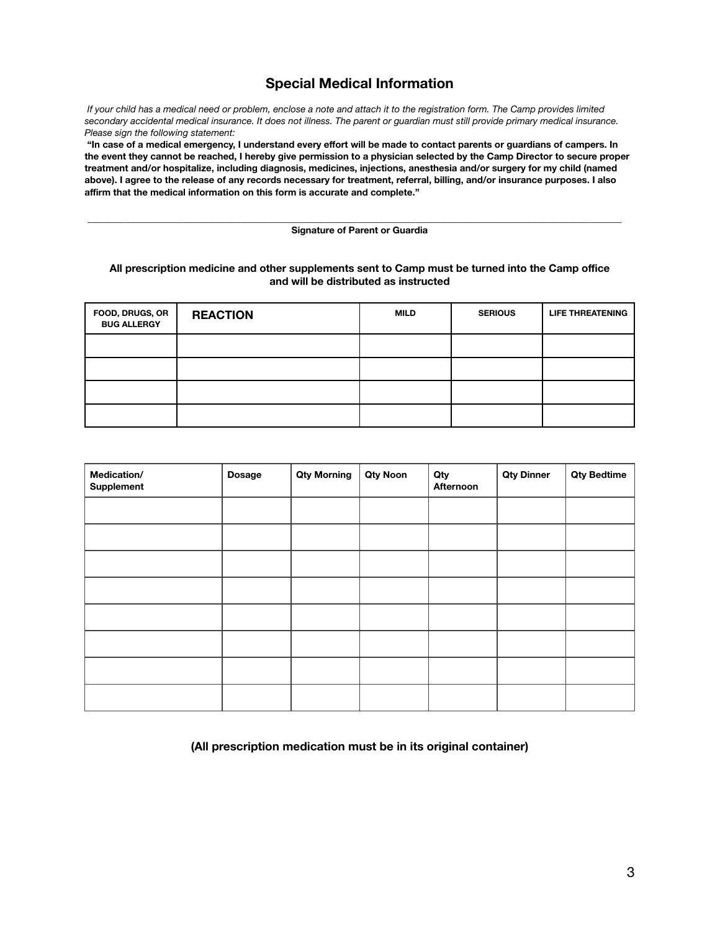## **Special Medical Information**

 *If your child has a medical need or problem, enclose a note and attach it to the registration form. The Camp provides limited secondary accidental medical insurance. It does not illness. The parent or guardian must still provide primary medical insurance. Please sign the following statement:* 

 **"In case of a medical emergency, I understand every effort will be made to contact parents or guardians of campers. In the event they cannot be reached, I hereby give permission to a physician selected by the Camp Director to secure proper treatment and/or hospitalize, including diagnosis, medicines, injections, anesthesia and/or surgery for my child (named above). I agree to the release of any records necessary for treatment, referral, billing, and/or insurance purposes. I also affirm that the medical information on this form is accurate and complete."**

#### \_\_\_\_\_\_\_\_\_\_\_\_\_\_\_\_\_\_\_\_\_\_\_\_\_\_\_\_\_\_\_\_\_\_\_\_\_\_\_\_\_\_\_\_\_\_\_\_\_\_\_\_\_\_\_\_\_\_\_\_\_\_\_\_\_\_\_\_\_\_\_\_\_\_\_\_\_\_\_\_\_\_\_\_\_\_\_\_\_\_\_\_\_\_\_\_\_\_\_\_\_ **Signature of Parent or Guardia**

#### **All prescription medicine and other supplements sent to Camp must be turned into the Camp office and will be distributed as instructed**

| FOOD, DRUGS, OR<br><b>BUG ALLERGY</b> | <b>REACTION</b> | <b>MILD</b> | <b>SERIOUS</b> | <b>LIFE THREATENING</b> |
|---------------------------------------|-----------------|-------------|----------------|-------------------------|
|                                       |                 |             |                |                         |
|                                       |                 |             |                |                         |
|                                       |                 |             |                |                         |
|                                       |                 |             |                |                         |

| Medication/<br>Supplement | Dosage | <b>Qty Morning</b> | <b>Qty Noon</b> | Qty<br>Afternoon | <b>Qty Dinner</b> | <b>Qty Bedtime</b> |
|---------------------------|--------|--------------------|-----------------|------------------|-------------------|--------------------|
|                           |        |                    |                 |                  |                   |                    |
|                           |        |                    |                 |                  |                   |                    |
|                           |        |                    |                 |                  |                   |                    |
|                           |        |                    |                 |                  |                   |                    |
|                           |        |                    |                 |                  |                   |                    |
|                           |        |                    |                 |                  |                   |                    |
|                           |        |                    |                 |                  |                   |                    |
|                           |        |                    |                 |                  |                   |                    |

#### **(All prescription medication must be in its original container)**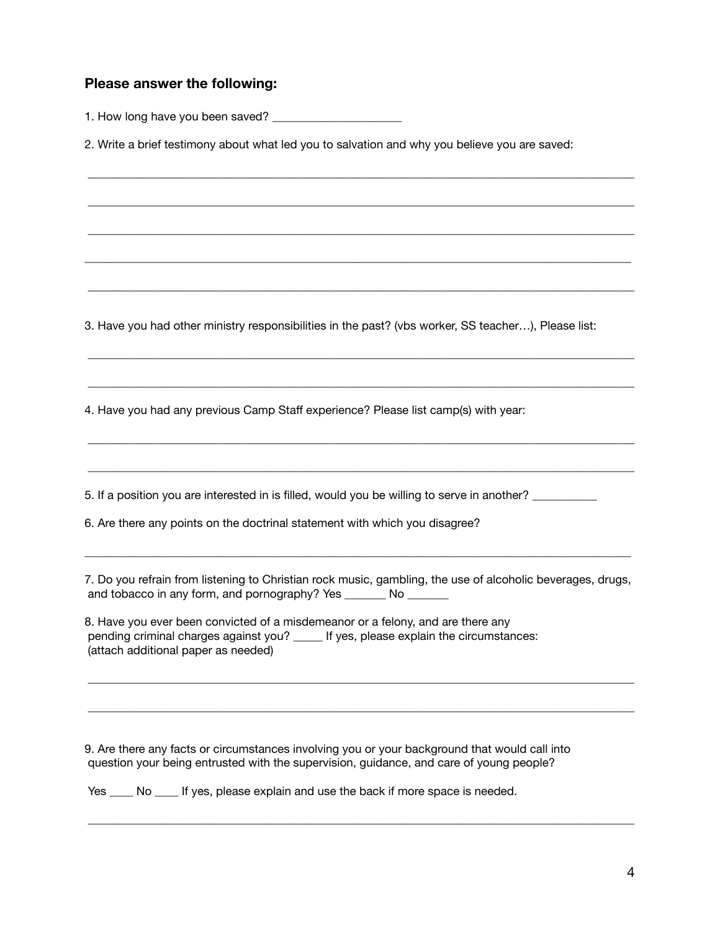### **Please answer the following:**

1. How long have you been saved? \_\_\_\_\_\_\_\_\_\_\_\_\_\_\_\_\_\_\_\_\_\_

2. Write a brief testimony about what led you to salvation and why you believe you are saved:

\_\_\_\_\_\_\_\_\_\_\_\_\_\_\_\_\_\_\_\_\_\_\_\_\_\_\_\_\_\_\_\_\_\_\_\_\_\_\_\_\_\_\_\_\_\_\_\_\_\_\_\_\_\_\_\_\_\_\_\_\_\_\_\_\_\_\_\_\_\_\_\_\_\_\_\_\_\_\_\_\_\_\_\_\_\_\_\_\_\_\_\_\_

\_\_\_\_\_\_\_\_\_\_\_\_\_\_\_\_\_\_\_\_\_\_\_\_\_\_\_\_\_\_\_\_\_\_\_\_\_\_\_\_\_\_\_\_\_\_\_\_\_\_\_\_\_\_\_\_\_\_\_\_\_\_\_\_\_\_\_\_\_\_\_\_\_\_\_\_\_\_\_\_\_\_\_\_\_\_\_\_\_\_\_\_\_

\_\_\_\_\_\_\_\_\_\_\_\_\_\_\_\_\_\_\_\_\_\_\_\_\_\_\_\_\_\_\_\_\_\_\_\_\_\_\_\_\_\_\_\_\_\_\_\_\_\_\_\_\_\_\_\_\_\_\_\_\_\_\_\_\_\_\_\_\_\_\_\_\_\_\_\_\_\_\_\_\_\_\_\_\_\_\_\_\_\_\_\_\_

\_\_\_\_\_\_\_\_\_\_\_\_\_\_\_\_\_\_\_\_\_\_\_\_\_\_\_\_\_\_\_\_\_\_\_\_\_\_\_\_\_\_\_\_\_\_\_\_\_\_\_\_\_\_\_\_\_\_\_\_\_\_\_\_\_\_\_\_\_\_\_\_\_\_\_\_\_\_\_\_\_\_\_\_\_\_\_\_\_\_\_\_\_

\_\_\_\_\_\_\_\_\_\_\_\_\_\_\_\_\_\_\_\_\_\_\_\_\_\_\_\_\_\_\_\_\_\_\_\_\_\_\_\_\_\_\_\_\_\_\_\_\_\_\_\_\_\_\_\_\_\_\_\_\_\_\_\_\_\_\_\_\_\_\_\_\_\_\_\_\_\_\_\_\_\_\_\_\_\_\_\_\_\_\_\_\_

\_\_\_\_\_\_\_\_\_\_\_\_\_\_\_\_\_\_\_\_\_\_\_\_\_\_\_\_\_\_\_\_\_\_\_\_\_\_\_\_\_\_\_\_\_\_\_\_\_\_\_\_\_\_\_\_\_\_\_\_\_\_\_\_\_\_\_\_\_\_\_\_\_\_\_\_\_\_\_\_\_\_\_\_\_\_\_\_\_\_\_\_\_

\_\_\_\_\_\_\_\_\_\_\_\_\_\_\_\_\_\_\_\_\_\_\_\_\_\_\_\_\_\_\_\_\_\_\_\_\_\_\_\_\_\_\_\_\_\_\_\_\_\_\_\_\_\_\_\_\_\_\_\_\_\_\_\_\_\_\_\_\_\_\_\_\_\_\_\_\_\_\_\_\_\_\_\_\_\_\_\_\_\_\_\_\_

\_\_\_\_\_\_\_\_\_\_\_\_\_\_\_\_\_\_\_\_\_\_\_\_\_\_\_\_\_\_\_\_\_\_\_\_\_\_\_\_\_\_\_\_\_\_\_\_\_\_\_\_\_\_\_\_\_\_\_\_\_\_\_\_\_\_\_\_\_\_\_\_\_\_\_\_\_\_\_\_\_\_\_\_\_\_\_\_\_\_\_\_\_

\_\_\_\_\_\_\_\_\_\_\_\_\_\_\_\_\_\_\_\_\_\_\_\_\_\_\_\_\_\_\_\_\_\_\_\_\_\_\_\_\_\_\_\_\_\_\_\_\_\_\_\_\_\_\_\_\_\_\_\_\_\_\_\_\_\_\_\_\_\_\_\_\_\_\_\_\_\_\_\_\_\_\_\_\_\_\_\_\_\_\_\_\_

3. Have you had other ministry responsibilities in the past? (vbs worker, SS teacher…), Please list:

4. Have you had any previous Camp Staff experience? Please list camp(s) with year:

5. If a position you are interested in is filled, would you be willing to serve in another? \_\_\_\_\_\_\_\_\_\_\_\_\_\_\_\_\_\_

6. Are there any points on the doctrinal statement with which you disagree?

7. Do you refrain from listening to Christian rock music, gambling, the use of alcoholic beverages, drugs, and tobacco in any form, and pornography? Yes \_\_\_\_\_\_\_ No \_\_\_\_\_\_\_

\_\_\_\_\_\_\_\_\_\_\_\_\_\_\_\_\_\_\_\_\_\_\_\_\_\_\_\_\_\_\_\_\_\_\_\_\_\_\_\_\_\_\_\_\_\_\_\_\_\_\_\_\_\_\_\_\_\_\_\_\_\_\_\_\_\_\_\_\_\_\_\_\_\_\_\_\_\_\_\_\_\_\_\_\_\_\_\_\_\_\_\_\_

\_\_\_\_\_\_\_\_\_\_\_\_\_\_\_\_\_\_\_\_\_\_\_\_\_\_\_\_\_\_\_\_\_\_\_\_\_\_\_\_\_\_\_\_\_\_\_\_\_\_\_\_\_\_\_\_\_\_\_\_\_\_\_\_\_\_\_\_\_\_\_\_\_\_\_\_\_\_\_\_\_\_\_\_\_\_\_\_\_\_\_\_\_

\_\_\_\_\_\_\_\_\_\_\_\_\_\_\_\_\_\_\_\_\_\_\_\_\_\_\_\_\_\_\_\_\_\_\_\_\_\_\_\_\_\_\_\_\_\_\_\_\_\_\_\_\_\_\_\_\_\_\_\_\_\_\_\_\_\_\_\_\_\_\_\_\_\_\_\_\_\_\_\_\_\_\_\_\_\_\_\_\_\_\_\_\_

 $\_$  ,  $\_$  ,  $\_$  ,  $\_$  ,  $\_$  ,  $\_$  ,  $\_$  ,  $\_$  ,  $\_$  ,  $\_$  ,  $\_$  ,  $\_$  ,  $\_$  ,  $\_$  ,  $\_$  ,  $\_$  ,  $\_$  ,  $\_$  ,  $\_$  ,  $\_$  ,  $\_$  ,  $\_$  ,  $\_$  ,  $\_$  ,  $\_$  ,  $\_$  ,  $\_$  ,  $\_$  ,  $\_$  ,  $\_$  ,  $\_$  ,  $\_$  ,  $\_$  ,  $\_$  ,  $\_$  ,  $\_$  ,  $\_$  ,

8. Have you ever been convicted of a misdemeanor or a felony, and are there any pending criminal charges against you? \_\_\_\_\_ If yes, please explain the circumstances: (attach additional paper as needed)

9. Are there any facts or circumstances involving you or your background that would call into question your being entrusted with the supervision, guidance, and care of young people?

Yes \_\_\_\_ No \_\_\_\_ If yes, please explain and use the back if more space is needed.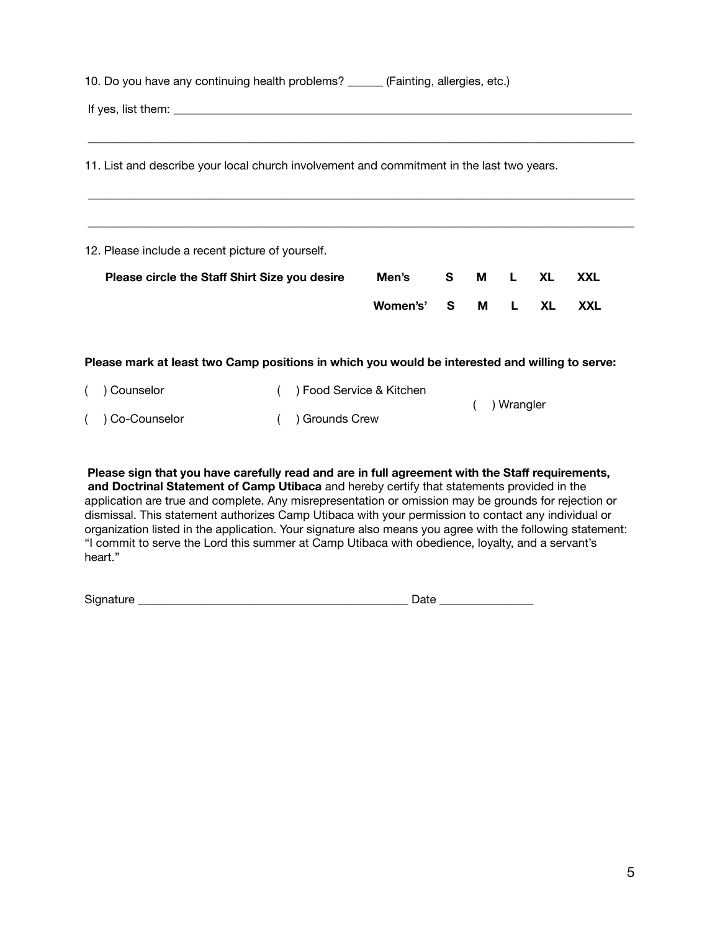| 10. Do you have any continuing health problems? ______ (Fainting, allergies, etc.)             |          |                                                                                                                                                                                                                                |          |    |      |            |  |
|------------------------------------------------------------------------------------------------|----------|--------------------------------------------------------------------------------------------------------------------------------------------------------------------------------------------------------------------------------|----------|----|------|------------|--|
|                                                                                                |          |                                                                                                                                                                                                                                |          |    |      |            |  |
|                                                                                                |          |                                                                                                                                                                                                                                |          |    |      |            |  |
| 11. List and describe your local church involvement and commitment in the last two years.      |          |                                                                                                                                                                                                                                |          |    |      |            |  |
|                                                                                                |          |                                                                                                                                                                                                                                |          |    |      |            |  |
|                                                                                                |          |                                                                                                                                                                                                                                |          |    |      |            |  |
| 12. Please include a recent picture of yourself.                                               |          |                                                                                                                                                                                                                                |          |    |      |            |  |
| Please circle the Staff Shirt Size you desire                                                  | Men's    | S and the set of the set of the set of the set of the set of the set of the set of the set of the set of the set of the set of the set of the set of the set of the set of the set of the set of the set of the set of the set | <b>M</b> |    | L XL | <b>XXL</b> |  |
|                                                                                                | Women's' |                                                                                                                                                                                                                                | S M      | L. | XL.  | <b>XXL</b> |  |
|                                                                                                |          |                                                                                                                                                                                                                                |          |    |      |            |  |
| Please mark at least two Camp positions in which you would be interested and willing to serve: |          |                                                                                                                                                                                                                                |          |    |      |            |  |

| ( ) Counselor    | () Food Service & Kitchen | ( ) Wrangler |
|------------------|---------------------------|--------------|
| ( ) Co-Counselor | ( ) Grounds Crew          |              |

**Please sign that you have carefully read and are in full agreement with the Staff requirements, and Doctrinal Statement of Camp Utibaca** and hereby certify that statements provided in the application are true and complete. Any misrepresentation or omission may be grounds for rejection or dismissal. This statement authorizes Camp Utibaca with your permission to contact any individual or organization listed in the application. Your signature also means you agree with the following statement: "I commit to serve the Lord this summer at Camp Utibaca with obedience, loyalty, and a servant's heart."

| $\sim$<br>.<br>יור<br>- | <br>-- |
|-------------------------|--------|
|                         |        |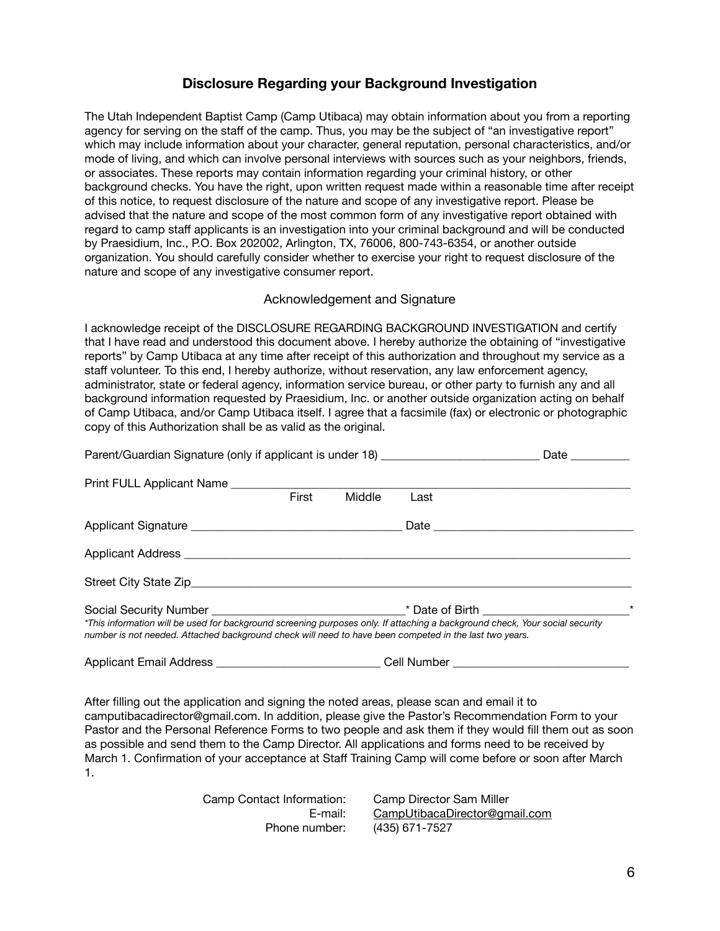## **Disclosure Regarding your Background Investigation**

The Utah Independent Baptist Camp (Camp Utibaca) may obtain information about you from a reporting agency for serving on the staff of the camp. Thus, you may be the subject of "an investigative report" which may include information about your character, general reputation, personal characteristics, and/or mode of living, and which can involve personal interviews with sources such as your neighbors, friends, or associates. These reports may contain information regarding your criminal history, or other background checks. You have the right, upon written request made within a reasonable time after receipt of this notice, to request disclosure of the nature and scope of any investigative report. Please be advised that the nature and scope of the most common form of any investigative report obtained with regard to camp staff applicants is an investigation into your criminal background and will be conducted by Praesidium, Inc., P.O. Box 202002, Arlington, TX, 76006, 800-743-6354, or another outside organization. You should carefully consider whether to exercise your right to request disclosure of the nature and scope of any investigative consumer report.

### Acknowledgement and Signature

I acknowledge receipt of the DISCLOSURE REGARDING BACKGROUND INVESTIGATION and certify that I have read and understood this document above. I hereby authorize the obtaining of "investigative reports" by Camp Utibaca at any time after receipt of this authorization and throughout my service as a staff volunteer. To this end, I hereby authorize, without reservation, any law enforcement agency, administrator, state or federal agency, information service bureau, or other party to furnish any and all background information requested by Praesidium, Inc. or another outside organization acting on behalf of Camp Utibaca, and/or Camp Utibaca itself. I agree that a facsimile (fax) or electronic or photographic copy of this Authorization shall be as valid as the original.

| Parent/Guardian Signature (only if applicant is under 18) ______________________                                                                                                                                                       |       |        |             | Date $\_\_$ |
|----------------------------------------------------------------------------------------------------------------------------------------------------------------------------------------------------------------------------------------|-------|--------|-------------|-------------|
| Print FULL Applicant Name                                                                                                                                                                                                              |       |        |             |             |
|                                                                                                                                                                                                                                        | First | Middle | Last        |             |
|                                                                                                                                                                                                                                        |       |        |             |             |
|                                                                                                                                                                                                                                        |       |        |             |             |
|                                                                                                                                                                                                                                        |       |        |             |             |
| *This information will be used for background screening purposes only. If attaching a background check, Your social security<br>number is not needed. Attached background check will need to have been competed in the last two years. |       |        |             | $^\star$    |
| <b>Applicant Email Address</b>                                                                                                                                                                                                         |       |        | Cell Number |             |

After filling out the application and signing the noted areas, please scan and email it to camputibacadirector@gmail.com. In addition, please give the Pastor's Recommendation Form to your Pastor and the Personal Reference Forms to two people and ask them if they would fill them out as soon as possible and send them to the Camp Director. All applications and forms need to be received by March 1. Confirmation of your acceptance at Staff Training Camp will come before or soon after March 1.

| Camp Contact Information: | Camp Director Sam Miller      |
|---------------------------|-------------------------------|
| E-mail:                   | CampUtibacaDirector@gmail.com |
| Phone number:             | (435) 671-7527                |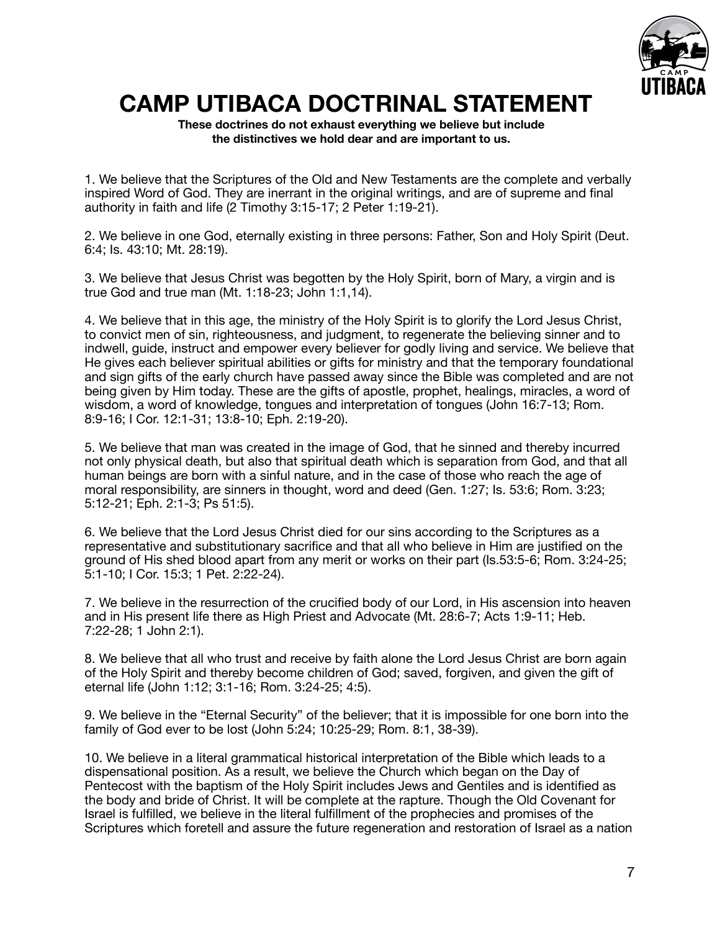

# **CAMP UTIBACA DOCTRINAL STATEMENT**

**These doctrines do not exhaust everything we believe but include the distinctives we hold dear and are important to us.** 

1. We believe that the Scriptures of the Old and New Testaments are the complete and verbally inspired Word of God. They are inerrant in the original writings, and are of supreme and final authority in faith and life (2 Timothy 3:15-17; 2 Peter 1:19-21).

2. We believe in one God, eternally existing in three persons: Father, Son and Holy Spirit (Deut. 6:4; Is. 43:10; Mt. 28:19).

3. We believe that Jesus Christ was begotten by the Holy Spirit, born of Mary, a virgin and is true God and true man (Mt. 1:18-23; John 1:1,14).

4. We believe that in this age, the ministry of the Holy Spirit is to glorify the Lord Jesus Christ, to convict men of sin, righteousness, and judgment, to regenerate the believing sinner and to indwell, guide, instruct and empower every believer for godly living and service. We believe that He gives each believer spiritual abilities or gifts for ministry and that the temporary foundational and sign gifts of the early church have passed away since the Bible was completed and are not being given by Him today. These are the gifts of apostle, prophet, healings, miracles, a word of wisdom, a word of knowledge, tongues and interpretation of tongues (John 16:7-13; Rom. 8:9-16; I Cor. 12:1-31; 13:8-10; Eph. 2:19-20).

5. We believe that man was created in the image of God, that he sinned and thereby incurred not only physical death, but also that spiritual death which is separation from God, and that all human beings are born with a sinful nature, and in the case of those who reach the age of moral responsibility, are sinners in thought, word and deed (Gen. 1:27; Is. 53:6; Rom. 3:23; 5:12-21; Eph. 2:1-3; Ps 51:5).

6. We believe that the Lord Jesus Christ died for our sins according to the Scriptures as a representative and substitutionary sacrifice and that all who believe in Him are justified on the ground of His shed blood apart from any merit or works on their part (Is.53:5-6; Rom. 3:24-25; 5:1-10; I Cor. 15:3; 1 Pet. 2:22-24).

7. We believe in the resurrection of the crucified body of our Lord, in His ascension into heaven and in His present life there as High Priest and Advocate (Mt. 28:6-7; Acts 1:9-11; Heb. 7:22-28; 1 John 2:1).

8. We believe that all who trust and receive by faith alone the Lord Jesus Christ are born again of the Holy Spirit and thereby become children of God; saved, forgiven, and given the gift of eternal life (John 1:12; 3:1-16; Rom. 3:24-25; 4:5).

9. We believe in the "Eternal Security" of the believer; that it is impossible for one born into the family of God ever to be lost (John 5:24; 10:25-29; Rom. 8:1, 38-39).

10. We believe in a literal grammatical historical interpretation of the Bible which leads to a dispensational position. As a result, we believe the Church which began on the Day of Pentecost with the baptism of the Holy Spirit includes Jews and Gentiles and is identified as the body and bride of Christ. It will be complete at the rapture. Though the Old Covenant for Israel is fulfilled, we believe in the literal fulfillment of the prophecies and promises of the Scriptures which foretell and assure the future regeneration and restoration of Israel as a nation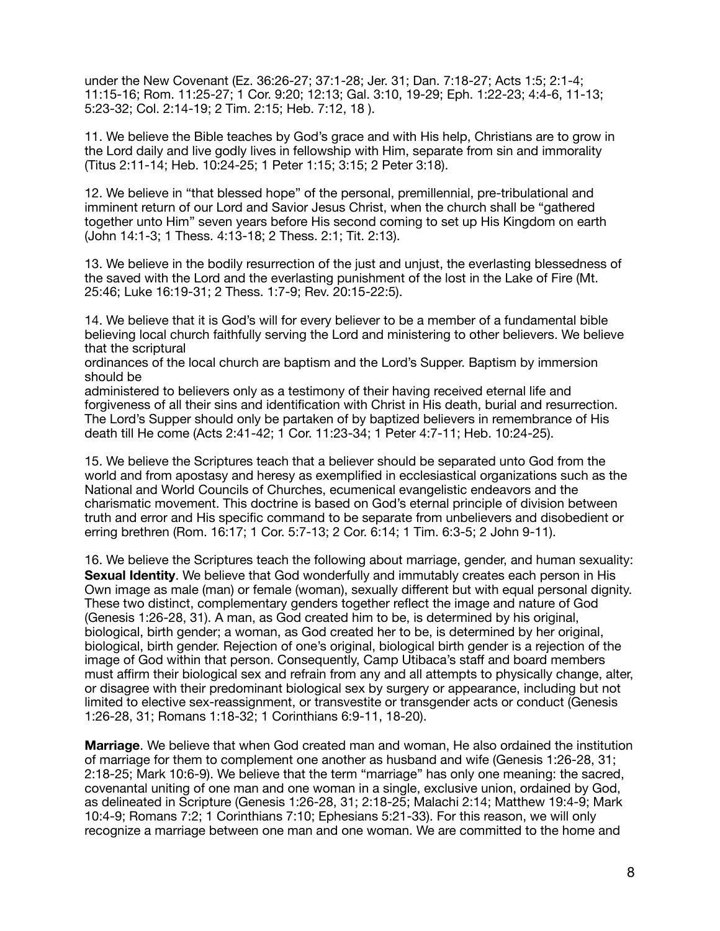under the New Covenant (Ez. 36:26-27; 37:1-28; Jer. 31; Dan. 7:18-27; Acts 1:5; 2:1-4; 11:15-16; Rom. 11:25-27; 1 Cor. 9:20; 12:13; Gal. 3:10, 19-29; Eph. 1:22-23; 4:4-6, 11-13; 5:23-32; Col. 2:14-19; 2 Tim. 2:15; Heb. 7:12, 18 ).

11. We believe the Bible teaches by God's grace and with His help, Christians are to grow in the Lord daily and live godly lives in fellowship with Him, separate from sin and immorality (Titus 2:11-14; Heb. 10:24-25; 1 Peter 1:15; 3:15; 2 Peter 3:18).

12. We believe in "that blessed hope" of the personal, premillennial, pre-tribulational and imminent return of our Lord and Savior Jesus Christ, when the church shall be "gathered together unto Him" seven years before His second coming to set up His Kingdom on earth (John 14:1-3; 1 Thess. 4:13-18; 2 Thess. 2:1; Tit. 2:13).

13. We believe in the bodily resurrection of the just and unjust, the everlasting blessedness of the saved with the Lord and the everlasting punishment of the lost in the Lake of Fire (Mt. 25:46; Luke 16:19-31; 2 Thess. 1:7-9; Rev. 20:15-22:5).

14. We believe that it is God's will for every believer to be a member of a fundamental bible believing local church faithfully serving the Lord and ministering to other believers. We believe that the scriptural

ordinances of the local church are baptism and the Lord's Supper. Baptism by immersion should be

administered to believers only as a testimony of their having received eternal life and forgiveness of all their sins and identification with Christ in His death, burial and resurrection. The Lord's Supper should only be partaken of by baptized believers in remembrance of His death till He come (Acts 2:41-42; 1 Cor. 11:23-34; 1 Peter 4:7-11; Heb. 10:24-25).

15. We believe the Scriptures teach that a believer should be separated unto God from the world and from apostasy and heresy as exemplified in ecclesiastical organizations such as the National and World Councils of Churches, ecumenical evangelistic endeavors and the charismatic movement. This doctrine is based on God's eternal principle of division between truth and error and His specific command to be separate from unbelievers and disobedient or erring brethren (Rom. 16:17; 1 Cor. 5:7-13; 2 Cor. 6:14; 1 Tim. 6:3-5; 2 John 9-11).

16. We believe the Scriptures teach the following about marriage, gender, and human sexuality: **Sexual Identity**. We believe that God wonderfully and immutably creates each person in His Own image as male (man) or female (woman), sexually different but with equal personal dignity. These two distinct, complementary genders together reflect the image and nature of God (Genesis 1:26-28, 31). A man, as God created him to be, is determined by his original, biological, birth gender; a woman, as God created her to be, is determined by her original, biological, birth gender. Rejection of one's original, biological birth gender is a rejection of the image of God within that person. Consequently, Camp Utibaca's staff and board members must affirm their biological sex and refrain from any and all attempts to physically change, alter, or disagree with their predominant biological sex by surgery or appearance, including but not limited to elective sex-reassignment, or transvestite or transgender acts or conduct (Genesis 1:26-28, 31; Romans 1:18-32; 1 Corinthians 6:9-11, 18-20).

**Marriage**. We believe that when God created man and woman, He also ordained the institution of marriage for them to complement one another as husband and wife (Genesis 1:26-28, 31; 2:18-25; Mark 10:6-9). We believe that the term "marriage" has only one meaning: the sacred, covenantal uniting of one man and one woman in a single, exclusive union, ordained by God, as delineated in Scripture (Genesis 1:26-28, 31; 2:18-25; Malachi 2:14; Matthew 19:4-9; Mark 10:4-9; Romans 7:2; 1 Corinthians 7:10; Ephesians 5:21-33). For this reason, we will only recognize a marriage between one man and one woman. We are committed to the home and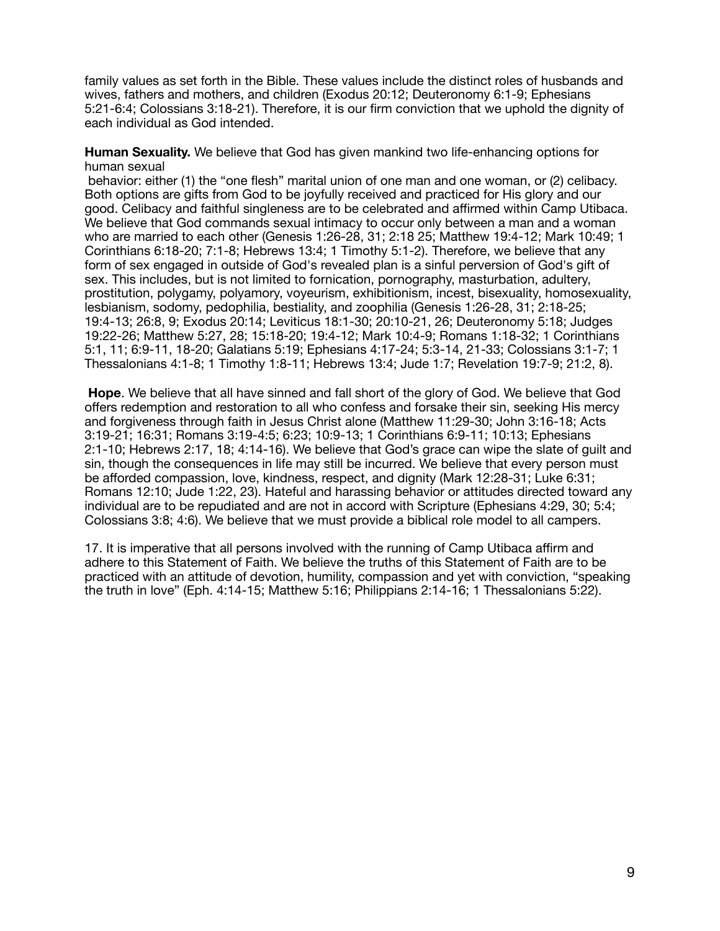family values as set forth in the Bible. These values include the distinct roles of husbands and wives, fathers and mothers, and children (Exodus 20:12; Deuteronomy 6:1-9; Ephesians 5:21-6:4; Colossians 3:18-21). Therefore, it is our firm conviction that we uphold the dignity of each individual as God intended.

#### **Human Sexuality.** We believe that God has given mankind two life-enhancing options for human sexual

 behavior: either (1) the "one flesh" marital union of one man and one woman, or (2) celibacy. Both options are gifts from God to be joyfully received and practiced for His glory and our good. Celibacy and faithful singleness are to be celebrated and affirmed within Camp Utibaca. We believe that God commands sexual intimacy to occur only between a man and a woman who are married to each other (Genesis 1:26-28, 31; 2:18 25; Matthew 19:4-12; Mark 10:49; 1 Corinthians 6:18-20; 7:1-8; Hebrews 13:4; 1 Timothy 5:1-2). Therefore, we believe that any form of sex engaged in outside of God's revealed plan is a sinful perversion of God's gift of sex. This includes, but is not limited to fornication, pornography, masturbation, adultery, prostitution, polygamy, polyamory, voyeurism, exhibitionism, incest, bisexuality, homosexuality, lesbianism, sodomy, pedophilia, bestiality, and zoophilia (Genesis 1:26-28, 31; 2:18-25; 19:4-13; 26:8, 9; Exodus 20:14; Leviticus 18:1-30; 20:10-21, 26; Deuteronomy 5:18; Judges 19:22-26; Matthew 5:27, 28; 15:18-20; 19:4-12; Mark 10:4-9; Romans 1:18-32; 1 Corinthians 5:1, 11; 6:9-11, 18-20; Galatians 5:19; Ephesians 4:17-24; 5:3-14, 21-33; Colossians 3:1-7; 1 Thessalonians 4:1-8; 1 Timothy 1:8-11; Hebrews 13:4; Jude 1:7; Revelation 19:7-9; 21:2, 8).

**Hope**. We believe that all have sinned and fall short of the glory of God. We believe that God offers redemption and restoration to all who confess and forsake their sin, seeking His mercy and forgiveness through faith in Jesus Christ alone (Matthew 11:29-30; John 3:16-18; Acts 3:19-21; 16:31; Romans 3:19-4:5; 6:23; 10:9-13; 1 Corinthians 6:9-11; 10:13; Ephesians 2:1-10; Hebrews 2:17, 18; 4:14-16). We believe that God's grace can wipe the slate of guilt and sin, though the consequences in life may still be incurred. We believe that every person must be afforded compassion, love, kindness, respect, and dignity (Mark 12:28-31; Luke 6:31; Romans 12:10; Jude 1:22, 23). Hateful and harassing behavior or attitudes directed toward any individual are to be repudiated and are not in accord with Scripture (Ephesians 4:29, 30; 5:4; Colossians 3:8; 4:6). We believe that we must provide a biblical role model to all campers.

17. It is imperative that all persons involved with the running of Camp Utibaca affirm and adhere to this Statement of Faith. We believe the truths of this Statement of Faith are to be practiced with an attitude of devotion, humility, compassion and yet with conviction, "speaking the truth in love" (Eph. 4:14-15; Matthew 5:16; Philippians 2:14-16; 1 Thessalonians 5:22).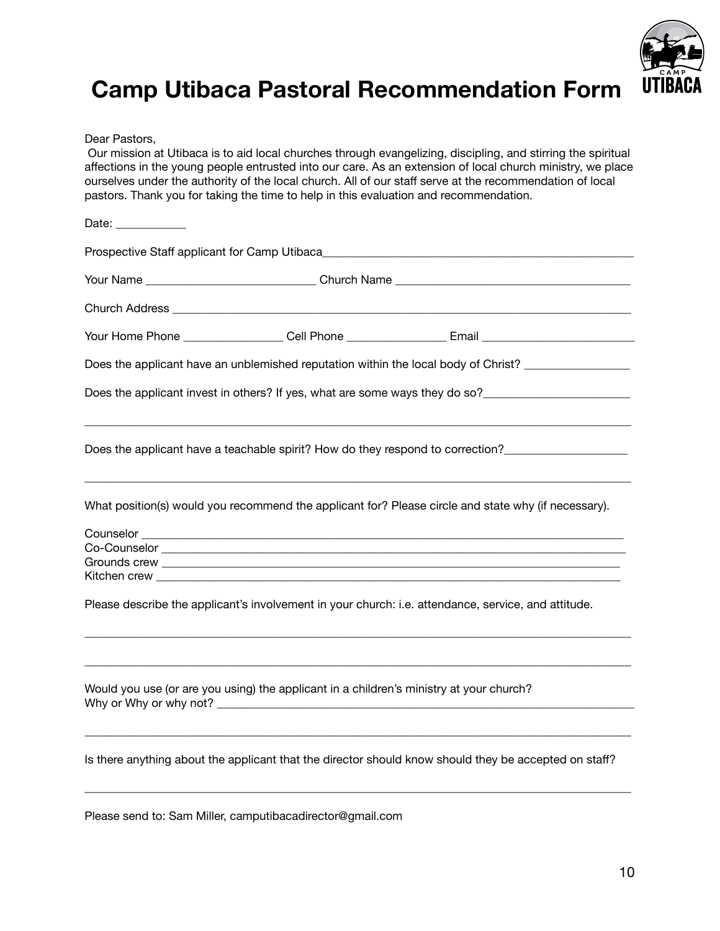

# **Camp Utibaca Pastoral Recommendation Form**

Dear Pastors,

 Our mission at Utibaca is to aid local churches through evangelizing, discipling, and stirring the spiritual affections in the young people entrusted into our care. As an extension of local church ministry, we place ourselves under the authority of the local church. All of our staff serve at the recommendation of local pastors. Thank you for taking the time to help in this evaluation and recommendation.

| Your Name ____________________________Church Name _______________________________       |                                                                                                       |  |  |  |  |
|-----------------------------------------------------------------------------------------|-------------------------------------------------------------------------------------------------------|--|--|--|--|
|                                                                                         |                                                                                                       |  |  |  |  |
|                                                                                         | Your Home Phone __________________ Cell Phone _________________ Email _____________________________   |  |  |  |  |
|                                                                                         | Does the applicant have an unblemished reputation within the local body of Christ? ________________   |  |  |  |  |
|                                                                                         | Does the applicant invest in others? If yes, what are some ways they do so?________________________   |  |  |  |  |
|                                                                                         |                                                                                                       |  |  |  |  |
|                                                                                         | What position(s) would you recommend the applicant for? Please circle and state why (if necessary).   |  |  |  |  |
|                                                                                         |                                                                                                       |  |  |  |  |
|                                                                                         |                                                                                                       |  |  |  |  |
|                                                                                         |                                                                                                       |  |  |  |  |
|                                                                                         | Please describe the applicant's involvement in your church: i.e. attendance, service, and attitude.   |  |  |  |  |
| Would you use (or are you using) the applicant in a children's ministry at your church? |                                                                                                       |  |  |  |  |
|                                                                                         | Is there anything about the applicant that the director should know should they be accepted on staff? |  |  |  |  |
|                                                                                         |                                                                                                       |  |  |  |  |

Please send to: Sam Miller, camputibacadirector@gmail.com